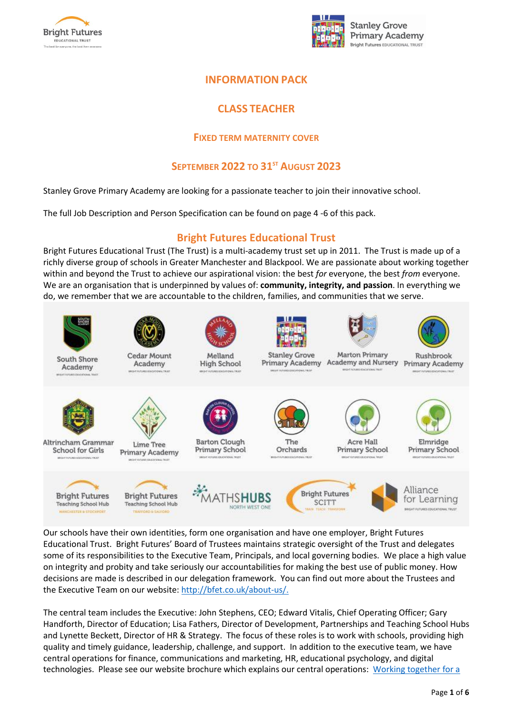



## **INFORMATION PACK**

## **CLASS TEACHER**

### **FIXED TERM MATERNITY COVER**

## **SEPTEMBER 2022 TO 31ST AUGUST 2023**

Stanley Grove Primary Academy are looking for a passionate teacher to join their innovative school.

The full Job Description and Person Specification can be found on page 4 -6 of this pack.

## **Bright Futures Educational Trust**

Bright Futures Educational Trust (The Trust) is a multi-academy trust set up in 2011. The Trust is made up of a richly diverse group of schools in Greater Manchester and Blackpool. We are passionate about working together within and beyond the Trust to achieve our aspirational vision: the best *for* everyone, the best *from* everyone. We are an organisation that is underpinned by values of: **community, integrity, and passion**. In everything we do, we remember that we are accountable to the children, families, and communities that we serve.



Our schools have their own identities, form one organisation and have one employer, Bright Futures Educational Trust. Bright Futures' Board of Trustees maintains strategic oversight of the Trust and delegates some of its responsibilities to the Executive Team, Principals, and local governing bodies. We place a high value on integrity and probity and take seriously our accountabilities for making the best use of public money. How decisions are made is described in our delegation framework. You can find out more about the Trustees and the Executive Team on our website: [http://bfet.co.uk/about-us/.](http://bfet.co.uk/about-us/)

The central team includes the Executive: John Stephens, CEO; Edward Vitalis, Chief Operating Officer; Gary Handforth, Director of Education; Lisa Fathers, Director of Development, Partnerships and Teaching School Hubs and Lynette Beckett, Director of HR & Strategy. The focus of these roles is to work with schools, providing high quality and timely guidance, leadership, challenge, and support. In addition to the executive team, we have central operations for finance, communications and marketing, HR, educational psychology, and digital technologies. Please see our website brochure which explains our central operations: Working [together](http://bfet.co.uk/wp-content/uploads/2019/07/BFET-Booklet-July-2019.pdf) for a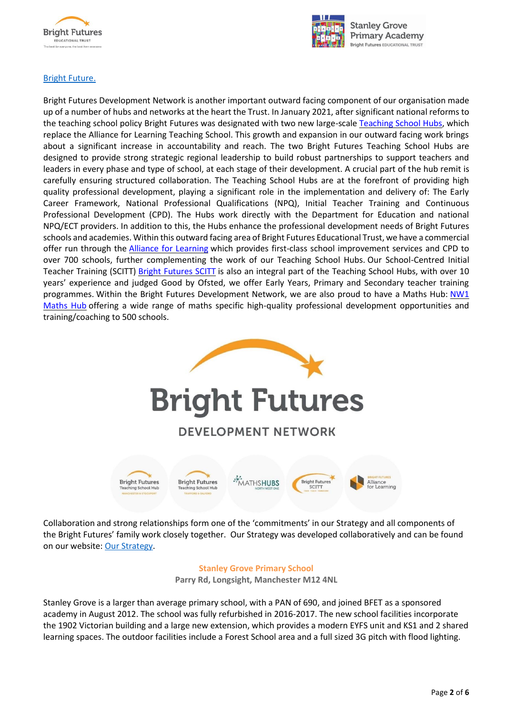



#### Bright [Future.](http://bfet.co.uk/wp-content/uploads/2019/07/BFET-Booklet-July-2019.pdf)

Bright Futures Development Network is another important outward facing component of our organisation made up of a number of hubs and networks at the heart the Trust. In January 2021, after significant national reforms to the teaching school policy Bright Futures was designated with two new large-scale [Teaching School Hubs,](https://tsh.bright-futures.co.uk/) which replace the Alliance for Learning Teaching School. This growth and expansion in our outward facing work brings about a significant increase in accountability and reach. The two Bright Futures Teaching School Hubs are designed to provide strong strategic regional leadership to build robust partnerships to support teachers and leaders in every phase and type of school, at each stage of their development. A crucial part of the hub remit is carefully ensuring structured collaboration. The Teaching School Hubs are at the forefront of providing high quality professional development, playing a significant role in the implementation and delivery of: The Early Career Framework, National Professional Qualifications (NPQ), Initial Teacher Training and Continuous Professional Development (CPD). The Hubs work directly with the Department for Education and national NPQ/ECT providers. In addition to this, the Hubs enhance the professional development needs of Bright Futures schools and academies. Within this outward facing area of Bright Futures Educational Trust, we have a commercial offer run through the [Alliance for Learning](http://allianceforlearning.co.uk/) which provides first-class school improvement services and CPD to over 700 schools, further complementing the work of our Teaching School Hubs. Our School-Centred Initial Teacher Training (SCITT) **[Bright Futures SCITT](https://www.bright-futures.co.uk/development-network/bright-futures-scitt/)** is also an integral part of the Teaching School Hubs, with over 10 years' experience and judged Good by Ofsted, we offer Early Years, Primary and Secondary teacher training programmes. Within the Bright Futures Development Network, we are also proud to have a Maths Hub: [NW1](http://www.nw1mathshub.co.uk/)  [Maths Hub](http://www.nw1mathshub.co.uk/) offering a wide range of maths specific high-quality professional development opportunities and training/coaching to 500 schools.



Collaboration and strong relationships form one of the 'commitments' in our Strategy and all components of the Bright Futures' family work closely together. Our Strategy was developed collaboratively and can be found on our website: Our [Strategy.](http://bfet.co.uk/about-us/our-strategy/)

#### **Stanley Grove Primary School**

**Parry Rd, Longsight, Manchester M12 4NL**

Stanley Grove is a larger than average primary school, with a PAN of 690, and joined BFET as a sponsored academy in August 2012. The school was fully refurbished in 2016-2017. The new school facilities incorporate the 1902 Victorian building and a large new extension, which provides a modern EYFS unit and KS1 and 2 shared learning spaces. The outdoor facilities include a Forest School area and a full sized 3G pitch with flood lighting.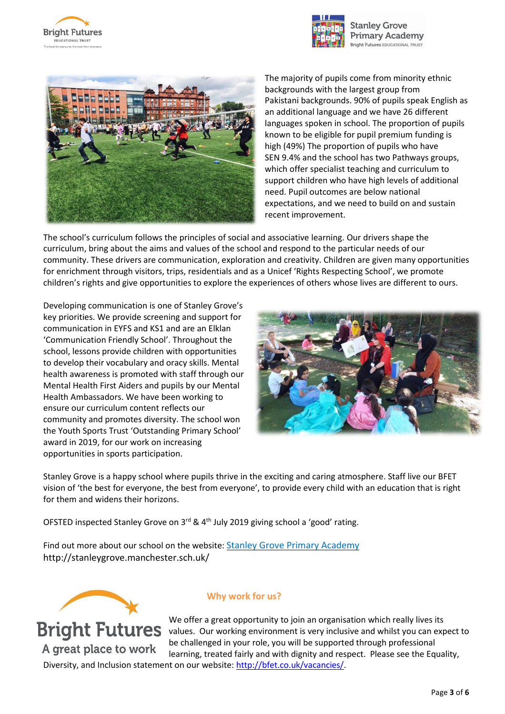





The majority of pupils come from minority ethnic backgrounds with the largest group from Pakistani backgrounds. 90% of pupils speak English as an additional language and we have 26 different languages spoken in school. The proportion of pupils known to be eligible for pupil premium funding is high (49%) The proportion of pupils who have SEN 9.4% and the school has two Pathways groups, which offer specialist teaching and curriculum to support children who have high levels of additional need. Pupil outcomes are below national expectations, and we need to build on and sustain recent improvement.

The school's curriculum follows the principles of social and associative learning. Our drivers shape the curriculum, bring about the aims and values of the school and respond to the particular needs of our community. These drivers are communication, exploration and creativity. Children are given many opportunities for enrichment through visitors, trips, residentials and as a Unicef 'Rights Respecting School', we promote children's rights and give opportunities to explore the experiences of others whose lives are different to ours.

Developing communication is one of Stanley Grove's key priorities. We provide screening and support for communication in EYFS and KS1 and are an Elklan 'Communication Friendly School'. Throughout the school, lessons provide children with opportunities to develop their vocabulary and oracy skills. Mental health awareness is promoted with staff through our Mental Health First Aiders and pupils by our Mental Health Ambassadors. We have been working to ensure our curriculum content reflects our community and promotes diversity. The school won the Youth Sports Trust 'Outstanding Primary School' award in 2019, for our work on increasing opportunities in sports participation.



Stanley Grove is a happy school where pupils thrive in the exciting and caring atmosphere. Staff live our BFET vision of 'the best for everyone, the best from everyone', to provide every child with an education that is right for them and widens their horizons.

OFSTED inspected Stanley Grove on 3<sup>rd</sup> & 4<sup>th</sup> July 2019 giving school a 'good' rating.

Find out more about our school on the website: Stanley Grove Primary [Academy](http://stanleygrove.manchester.sch.uk/) http://stanleygrove.manchester.sch.uk/



A great place to work

## **Why work for us?**

We offer a great opportunity to join an organisation which really lives its Bright Futures values. Our working environment is very inclusive and whilst you can expect to be challenged in your role, you will be supported through professional learning, treated fairly and with dignity and respect. Please see the Equality, Diversity, and Inclusion statement on our website: [http://bfet.co.uk/vacancies/.](http://bfet.co.uk/vacancies/)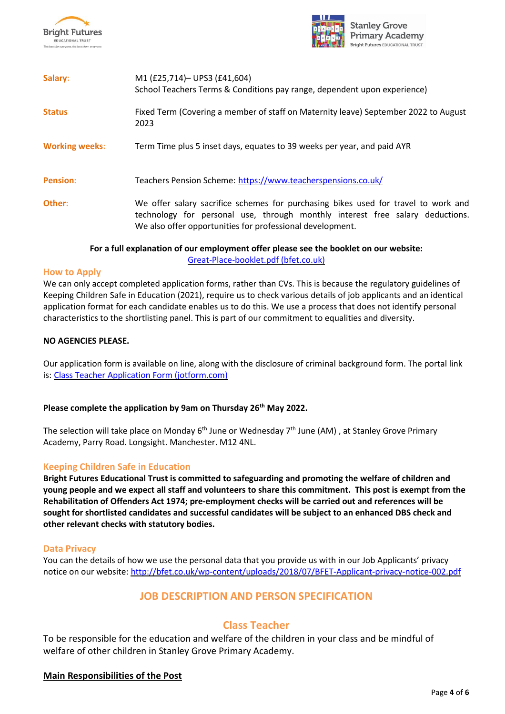



| Salary:               | M1 (£25,714)- UPS3 (£41,604)<br>School Teachers Terms & Conditions pay range, dependent upon experience)                                                                                                                         |
|-----------------------|----------------------------------------------------------------------------------------------------------------------------------------------------------------------------------------------------------------------------------|
| <b>Status</b>         | Fixed Term (Covering a member of staff on Maternity leave) September 2022 to August<br>2023                                                                                                                                      |
| <b>Working weeks:</b> | Term Time plus 5 inset days, equates to 39 weeks per year, and paid AYR                                                                                                                                                          |
| <b>Pension:</b>       | Teachers Pension Scheme: https://www.teacherspensions.co.uk/                                                                                                                                                                     |
| Other:                | We offer salary sacrifice schemes for purchasing bikes used for travel to work and<br>technology for personal use, through monthly interest free salary deductions.<br>We also offer opportunities for professional development. |

#### **For a full explanation of our employment offer please see the booklet on our website:** [Great-Place-booklet.pdf](http://bfet.co.uk/wp-content/uploads/2021/06/Great-Place-booklet.pdf) (bfet.co.uk)

#### **How to Apply**

We can only accept completed application forms, rather than CVs. This is because the regulatory guidelines of Keeping Children Safe in Education (2021), require us to check various details of job applicants and an identical application format for each candidate enables us to do this. We use a process that does not identify personal characteristics to the shortlisting panel. This is part of our commitment to equalities and diversity.

#### **NO AGENCIES PLEASE.**

Our application form is available on line, along with the disclosure of criminal background form. The portal link is: Class Teacher Application Form [\(jotform.com\)](https://bfet.jotform.com/221152624258350)

#### **Please complete the application by 9am on Thursday 26 th May 2022.**

The selection will take place on Monday 6<sup>th</sup> June or Wednesday 7<sup>th</sup> June (AM) , at Stanley Grove Primary Academy, Parry Road. Longsight. Manchester. M12 4NL.

#### **Keeping Children Safe in Education**

**Bright Futures Educational Trust is committed to safeguarding and promoting the welfare of children and** young people and we expect all staff and volunteers to share this commitment. This post is exempt from the **Rehabilitation of Offenders Act 1974; pre-employment checks will be carried out and references will be sought for shortlisted candidates and successful candidates will be subject to an enhanced DBS check and other relevant checks with statutory bodies.**

#### **Data Privacy**

You can the details of how we use the personal data that you provide us with in our Job Applicants' privacy notice on our website: <http://bfet.co.uk/wp-content/uploads/2018/07/BFET-Applicant-privacy-notice-002.pdf>

## **JOB DESCRIPTION AND PERSON SPECIFICATION**

## **Class Teacher**

To be responsible for the education and welfare of the children in your class and be mindful of welfare of other children in Stanley Grove Primary Academy.

#### **Main Responsibilities of the Post**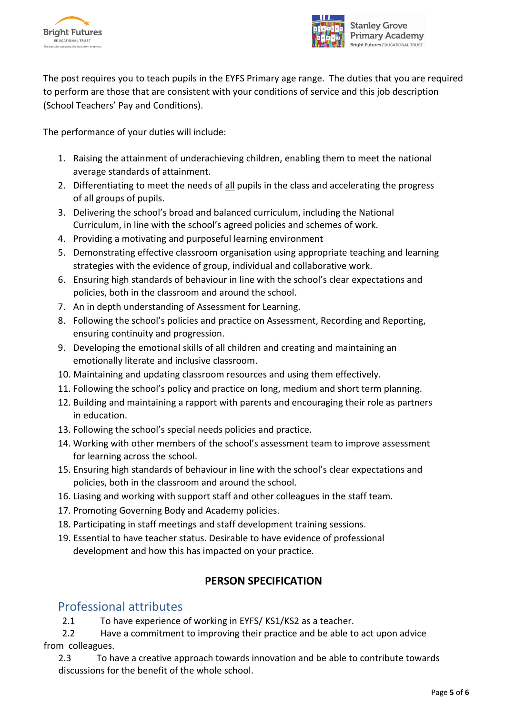



The post requires you to teach pupils in the EYFS Primary age range. The duties that you are required to perform are those that are consistent with your conditions of service and this job description (School Teachers' Pay and Conditions).

The performance of your duties will include:

- 1. Raising the attainment of underachieving children, enabling them to meet the national average standards of attainment.
- 2. Differentiating to meet the needs of all pupils in the class and accelerating the progress of all groups of pupils.
- 3. Delivering the school's broad and balanced curriculum, including the National Curriculum, in line with the school's agreed policies and schemes of work.
- 4. Providing a motivating and purposeful learning environment
- 5. Demonstrating effective classroom organisation using appropriate teaching and learning strategies with the evidence of group, individual and collaborative work.
- 6. Ensuring high standards of behaviour in line with the school's clear expectations and policies, both in the classroom and around the school.
- 7. An in depth understanding of Assessment for Learning.
- 8. Following the school's policies and practice on Assessment, Recording and Reporting, ensuring continuity and progression.
- 9. Developing the emotional skills of all children and creating and maintaining an emotionally literate and inclusive classroom.
- 10. Maintaining and updating classroom resources and using them effectively.
- 11. Following the school's policy and practice on long, medium and short term planning.
- 12. Building and maintaining a rapport with parents and encouraging their role as partners in education.
- 13. Following the school's special needs policies and practice.
- 14. Working with other members of the school's assessment team to improve assessment for learning across the school.
- 15. Ensuring high standards of behaviour in line with the school's clear expectations and policies, both in the classroom and around the school.
- 16. Liasing and working with support staff and other colleagues in the staff team.
- 17. Promoting Governing Body and Academy policies.
- 18. Participating in staff meetings and staff development training sessions.
- 19. Essential to have teacher status. Desirable to have evidence of professional development and how this has impacted on your practice.

## **PERSON SPECIFICATION**

# Professional attributes

2.1 To have experience of working in EYFS/ KS1/KS2 as a teacher.

 2.2 Have a commitment to improving their practice and be able to act upon advice from colleagues.

2.3 To have a creative approach towards innovation and be able to contribute towards discussions for the benefit of the whole school.